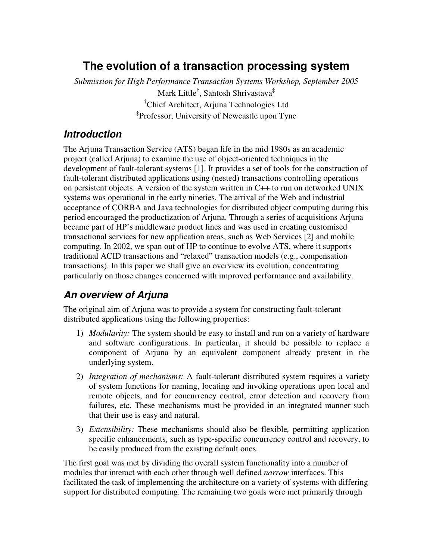# **The evolution of a transaction processing system**

*Submission for High Performance Transaction Systems Workshop, September 2005*  Mark Little† , Santosh Shrivastava‡

†Chief Architect, Arjuna Technologies Ltd ‡ Professor, University of Newcastle upon Tyne

## **Introduction**

The Arjuna Transaction Service (ATS) began life in the mid 1980s as an academic project (called Arjuna) to examine the use of object-oriented techniques in the development of fault-tolerant systems [1]. It provides a set of tools for the construction of fault-tolerant distributed applications using (nested) transactions controlling operations on persistent objects. A version of the system written in C++ to run on networked UNIX systems was operational in the early nineties. The arrival of the Web and industrial acceptance of CORBA and Java technologies for distributed object computing during this period encouraged the productization of Arjuna. Through a series of acquisitions Arjuna became part of HP's middleware product lines and was used in creating customised transactional services for new application areas, such as Web Services [2] and mobile computing. In 2002, we span out of HP to continue to evolve ATS, where it supports traditional ACID transactions and "relaxed" transaction models (e.g., compensation transactions). In this paper we shall give an overview its evolution, concentrating particularly on those changes concerned with improved performance and availability.

# **An overview of Arjuna**

The original aim of Arjuna was to provide a system for constructing fault-tolerant distributed applications using the following properties:

- 1) *Modularity:* The system should be easy to install and run on a variety of hardware and software configurations. In particular, it should be possible to replace a component of Arjuna by an equivalent component already present in the underlying system.
- 2) *Integration of mechanisms:* A fault-tolerant distributed system requires a variety of system functions for naming, locating and invoking operations upon local and remote objects, and for concurrency control, error detection and recovery from failures, etc. These mechanisms must be provided in an integrated manner such that their use is easy and natural.
- 3) *Extensibility:* These mechanisms should also be flexible*,* permitting application specific enhancements, such as type-specific concurrency control and recovery, to be easily produced from the existing default ones.

The first goal was met by dividing the overall system functionality into a number of modules that interact with each other through well defined *narrow* interfaces. This facilitated the task of implementing the architecture on a variety of systems with differing support for distributed computing. The remaining two goals were met primarily through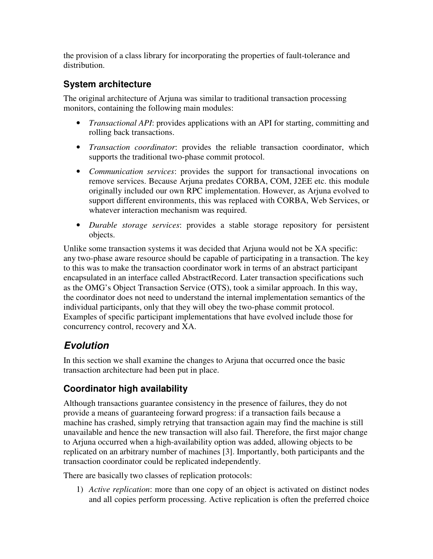the provision of a class library for incorporating the properties of fault-tolerance and distribution.

#### **System architecture**

The original architecture of Arjuna was similar to traditional transaction processing monitors, containing the following main modules:

- *Transactional API*: provides applications with an API for starting, committing and rolling back transactions.
- *Transaction coordinator*: provides the reliable transaction coordinator, which supports the traditional two-phase commit protocol.
- *Communication services*: provides the support for transactional invocations on remove services. Because Arjuna predates CORBA, COM, J2EE etc. this module originally included our own RPC implementation. However, as Arjuna evolved to support different environments, this was replaced with CORBA, Web Services, or whatever interaction mechanism was required.
- *Durable storage services*: provides a stable storage repository for persistent objects.

Unlike some transaction systems it was decided that Arjuna would not be XA specific: any two-phase aware resource should be capable of participating in a transaction. The key to this was to make the transaction coordinator work in terms of an abstract participant encapsulated in an interface called AbstractRecord. Later transaction specifications such as the OMG's Object Transaction Service (OTS), took a similar approach. In this way, the coordinator does not need to understand the internal implementation semantics of the individual participants, only that they will obey the two-phase commit protocol. Examples of specific participant implementations that have evolved include those for concurrency control, recovery and XA.

# **Evolution**

In this section we shall examine the changes to Arjuna that occurred once the basic transaction architecture had been put in place.

## **Coordinator high availability**

Although transactions guarantee consistency in the presence of failures, they do not provide a means of guaranteeing forward progress: if a transaction fails because a machine has crashed, simply retrying that transaction again may find the machine is still unavailable and hence the new transaction will also fail. Therefore, the first major change to Arjuna occurred when a high-availability option was added, allowing objects to be replicated on an arbitrary number of machines [3]. Importantly, both participants and the transaction coordinator could be replicated independently.

There are basically two classes of replication protocols:

1) *Active replication*: more than one copy of an object is activated on distinct nodes and all copies perform processing. Active replication is often the preferred choice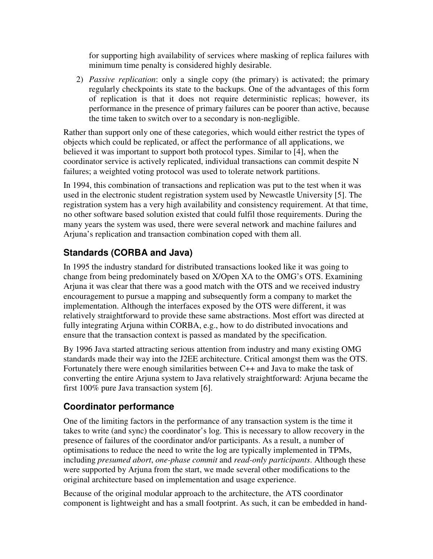for supporting high availability of services where masking of replica failures with minimum time penalty is considered highly desirable.

2) *Passive replication*: only a single copy (the primary) is activated; the primary regularly checkpoints its state to the backups. One of the advantages of this form of replication is that it does not require deterministic replicas; however, its performance in the presence of primary failures can be poorer than active, because the time taken to switch over to a secondary is non-negligible.

Rather than support only one of these categories, which would either restrict the types of objects which could be replicated, or affect the performance of all applications, we believed it was important to support both protocol types. Similar to [4], when the coordinator service is actively replicated, individual transactions can commit despite N failures; a weighted voting protocol was used to tolerate network partitions.

In 1994, this combination of transactions and replication was put to the test when it was used in the electronic student registration system used by Newcastle University [5]. The registration system has a very high availability and consistency requirement. At that time, no other software based solution existed that could fulfil those requirements. During the many years the system was used, there were several network and machine failures and Arjuna's replication and transaction combination coped with them all.

## **Standards (CORBA and Java)**

In 1995 the industry standard for distributed transactions looked like it was going to change from being predominately based on X/Open XA to the OMG's OTS. Examining Arjuna it was clear that there was a good match with the OTS and we received industry encouragement to pursue a mapping and subsequently form a company to market the implementation. Although the interfaces exposed by the OTS were different, it was relatively straightforward to provide these same abstractions. Most effort was directed at fully integrating Arjuna within CORBA, e.g., how to do distributed invocations and ensure that the transaction context is passed as mandated by the specification.

By 1996 Java started attracting serious attention from industry and many existing OMG standards made their way into the J2EE architecture. Critical amongst them was the OTS. Fortunately there were enough similarities between C++ and Java to make the task of converting the entire Arjuna system to Java relatively straightforward: Arjuna became the first 100% pure Java transaction system [6].

## **Coordinator performance**

One of the limiting factors in the performance of any transaction system is the time it takes to write (and sync) the coordinator's log. This is necessary to allow recovery in the presence of failures of the coordinator and/or participants. As a result, a number of optimisations to reduce the need to write the log are typically implemented in TPMs, including *presumed abort*, *one-phase commit* and *read-only participants*. Although these were supported by Arjuna from the start, we made several other modifications to the original architecture based on implementation and usage experience.

Because of the original modular approach to the architecture, the ATS coordinator component is lightweight and has a small footprint. As such, it can be embedded in hand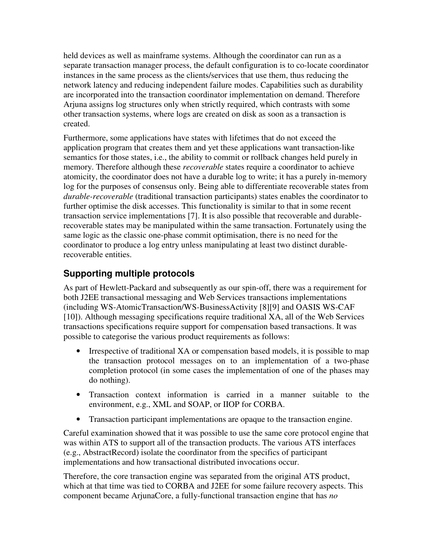held devices as well as mainframe systems. Although the coordinator can run as a separate transaction manager process, the default configuration is to co-locate coordinator instances in the same process as the clients/services that use them, thus reducing the network latency and reducing independent failure modes. Capabilities such as durability are incorporated into the transaction coordinator implementation on demand. Therefore Arjuna assigns log structures only when strictly required, which contrasts with some other transaction systems, where logs are created on disk as soon as a transaction is created.

Furthermore, some applications have states with lifetimes that do not exceed the application program that creates them and yet these applications want transaction-like semantics for those states, i.e., the ability to commit or rollback changes held purely in memory. Therefore although these *recoverable* states require a coordinator to achieve atomicity, the coordinator does not have a durable log to write; it has a purely in-memory log for the purposes of consensus only. Being able to differentiate recoverable states from *durable-recoverable* (traditional transaction participants) states enables the coordinator to further optimise the disk accesses. This functionality is similar to that in some recent transaction service implementations [7]. It is also possible that recoverable and durablerecoverable states may be manipulated within the same transaction. Fortunately using the same logic as the classic one-phase commit optimisation, there is no need for the coordinator to produce a log entry unless manipulating at least two distinct durablerecoverable entities.

#### **Supporting multiple protocols**

As part of Hewlett-Packard and subsequently as our spin-off, there was a requirement for both J2EE transactional messaging and Web Services transactions implementations (including WS-AtomicTransaction/WS-BusinessActivity [8][9] and OASIS WS-CAF [10]). Although messaging specifications require traditional XA, all of the Web Services transactions specifications require support for compensation based transactions. It was possible to categorise the various product requirements as follows:

- Irrespective of traditional XA or compensation based models, it is possible to map the transaction protocol messages on to an implementation of a two-phase completion protocol (in some cases the implementation of one of the phases may do nothing).
- Transaction context information is carried in a manner suitable to the environment, e.g., XML and SOAP, or IIOP for CORBA.
- Transaction participant implementations are opaque to the transaction engine.

Careful examination showed that it was possible to use the same core protocol engine that was within ATS to support all of the transaction products. The various ATS interfaces (e.g., AbstractRecord) isolate the coordinator from the specifics of participant implementations and how transactional distributed invocations occur.

Therefore, the core transaction engine was separated from the original ATS product, which at that time was tied to CORBA and J2EE for some failure recovery aspects. This component became ArjunaCore, a fully-functional transaction engine that has *no*